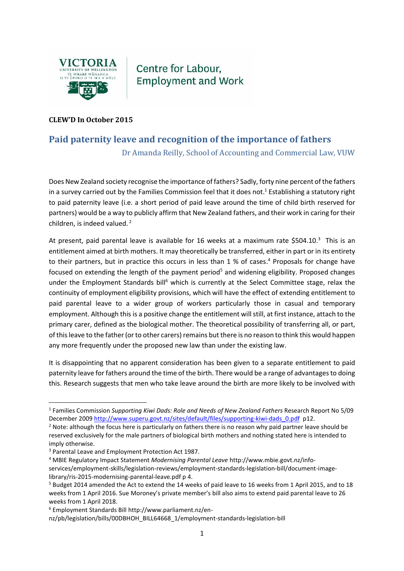

Centre for Labour, **Employment and Work** 

## **CLEW'D In October 2015**

## **Paid paternity leave and recognition of the importance of fathers**

Dr Amanda Reilly, School of Accounting and Commercial Law, VUW

Does New Zealand society recognise the importance of fathers? Sadly, forty nine percent of the fathers in a survey carried out by the Families Commission feel that it does not. <sup>1</sup> Establishing a statutory right to paid paternity leave (i.e. a short period of paid leave around the time of child birth reserved for partners) would be a way to publicly affirm that New Zealand fathers, and their work in caring for their children, is indeed valued. 2

At present, paid parental leave is available for 16 weeks at a maximum rate \$504.10.<sup>3</sup> This is an entitlement aimed at birth mothers. It may theoretically be transferred, either in part or in its entirety to their partners, but in practice this occurs in less than 1 % of cases.<sup>4</sup> Proposals for change have focused on extending the length of the payment period<sup>5</sup> and widening eligibility. Proposed changes under the Employment Standards bill<sup>6</sup> which is currently at the Select Committee stage, relax the continuity of employment eligibility provisions, which will have the effect of extending entitlement to paid parental leave to a wider group of workers particularly those in casual and temporary employment. Although this is a positive change the entitlement will still, at first instance, attach to the primary carer, defined as the biological mother. The theoretical possibility of transferring all, or part, of thisleave to the father (or to other carers) remains but there is no reason to think this would happen any more frequently under the proposed new law than under the existing law.

It is disappointing that no apparent consideration has been given to a separate entitlement to paid paternity leave for fathers around the time of the birth. There would be a range of advantages to doing this. Research suggests that men who take leave around the birth are more likely to be involved with

 $\overline{a}$ 

<sup>1</sup> Families Commission *Supporting Kiwi Dads: Role and Needs of New Zealand Fathers* Research Report No 5/09 December 2009 [http://www.superu.govt.nz/sites/default/files/supporting-kiwi-dads\\_0.pdf](http://www.superu.govt.nz/sites/default/files/supporting-kiwi-dads_0.pdf) p12.

 $<sup>2</sup>$  Note: although the focus here is particularly on fathers there is no reason why paid partner leave should be</sup> reserved exclusively for the male partners of biological birth mothers and nothing stated here is intended to imply otherwise.

<sup>3</sup> Parental Leave and Employment Protection Act 1987.

<sup>4</sup> MBIE Regulatory Impact Statement *Modernising Parental Leave* http://www.mbie.govt.nz/infoservices/employment-skills/legislation-reviews/employment-standards-legislation-bill/document-imagelibrary/ris-2015-modernising-parental-leave.pdf p 4.

<sup>5</sup> Budget 2014 amended the Act to extend the 14 weeks of paid leave to 16 weeks from 1 April 2015, and to 18 weeks from 1 April 2016. Sue Moroney's private member's bill also aims to extend paid parental leave to 26 weeks from 1 April 2018.

<sup>6</sup> Employment Standards Bill http://www.parliament.nz/en-

nz/pb/legislation/bills/00DBHOH\_BILL64668\_1/employment-standards-legislation-bill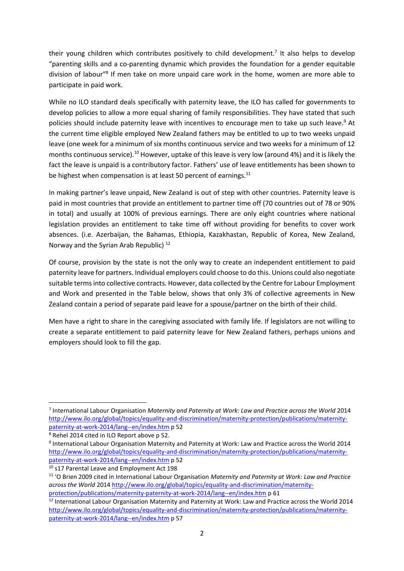their young children which contributes positively to child development.<sup>7</sup> It also helps to develop "parenting skills and a co-parenting dynamic which provides the foundation for a gender equitable division of labour"<sup>8</sup> If men take on more unpaid care work in the home, women are more able to participate in paid work.

While no ILO standard deals specifically with paternity leave, the ILO has called for governments to develop policies to allow a more equal sharing of family responsibilities. They have stated that such policies should include paternity leave with incentives to encourage men to take up such leave. <sup>9</sup> At the current time eligible employed New Zealand fathers may be entitled to up to two weeks unpaid leave (one week for a minimum of six months continuous service and two weeks for a minimum of 12 months continuous service).<sup>10</sup> However, uptake of this leave is very low (around 4%) and it is likely the fact the leave is unpaid is a contributory factor. Fathers' use of leave entitlements has been shown to be highest when compensation is at least 50 percent of earnings.<sup>11</sup>

In making partner's leave unpaid, New Zealand is out of step with other countries. Paternity leave is paid in most countries that provide an entitlement to partner time off (70 countries out of 78 or 90% in total) and usually at 100% of previous earnings. There are only eight countries where national legislation provides an entitlement to take time off without providing for benefits to cover work absences. (i.e. Azerbaijan, the Bahamas, Ethiopia, Kazakhastan, Republic of Korea, New Zealand, Norway and the Syrian Arab Republic) <sup>12</sup>

Of course, provision by the state is not the only way to create an independent entitlement to paid paternity leave for partners. Individual employers could choose to do this. Unions could also negotiate suitable terms into collective contracts. However, data collected by the Centre for Labour Employment and Work and presented in the Table below, shows that only 3% of collective agreements in New Zealand contain a period of separate paid leave for a spouse/partner on the birth of their child.

Men have a right to share in the caregiving associated with family life. If legislators are not willing to create a separate entitlement to paid paternity leave for New Zealand fathers, perhaps unions and employers should look to fill the gap.

 $\overline{a}$ 

<sup>7</sup> International Labour Organisation *Maternity and Paternity at Work: Law and Practice across the World* 2014 [http://www.ilo.org/global/topics/equality-and-discrimination/maternity-protection/publications/maternity](http://www.ilo.org/global/topics/equality-and-discrimination/maternity-protection/publications/maternity-paternity-at-work-2014/lang--en/index.htm)[paternity-at-work-2014/lang--en/index.htm](http://www.ilo.org/global/topics/equality-and-discrimination/maternity-protection/publications/maternity-paternity-at-work-2014/lang--en/index.htm) p 52

<sup>8</sup> Rehel 2014 cited in ILO Report above p 52.

<sup>9</sup> International Labour Organisation Maternity and Paternity at Work: Law and Practice across the World 2014 [http://www.ilo.org/global/topics/equality-and-discrimination/maternity-protection/publications/maternity](http://www.ilo.org/global/topics/equality-and-discrimination/maternity-protection/publications/maternity-paternity-at-work-2014/lang--en/index.htm)[paternity-at-work-2014/lang--en/index.htm](http://www.ilo.org/global/topics/equality-and-discrimination/maternity-protection/publications/maternity-paternity-at-work-2014/lang--en/index.htm) p 52

<sup>&</sup>lt;sup>10</sup> s17 Parental Leave and Employment Act 198

<sup>11</sup> 'O Brien 2009 cited in International Labour Organisation *Maternity and Paternity at Work: Law and Practice across the World* 2014 [http://www.ilo.org/global/topics/equality-and-discrimination/maternity](http://www.ilo.org/global/topics/equality-and-discrimination/maternity-protection/publications/maternity-paternity-at-work-2014/lang--en/index.htm)[protection/publications/maternity-paternity-at-work-2014/lang--en/index.htm](http://www.ilo.org/global/topics/equality-and-discrimination/maternity-protection/publications/maternity-paternity-at-work-2014/lang--en/index.htm) p 61

<sup>&</sup>lt;sup>12</sup> International Labour Organisation Maternity and Paternity at Work: Law and Practice across the World 2014 [http://www.ilo.org/global/topics/equality-and-discrimination/maternity-protection/publications/maternity](http://www.ilo.org/global/topics/equality-and-discrimination/maternity-protection/publications/maternity-paternity-at-work-2014/lang--en/index.htm)[paternity-at-work-2014/lang--en/index.htm](http://www.ilo.org/global/topics/equality-and-discrimination/maternity-protection/publications/maternity-paternity-at-work-2014/lang--en/index.htm) p 57